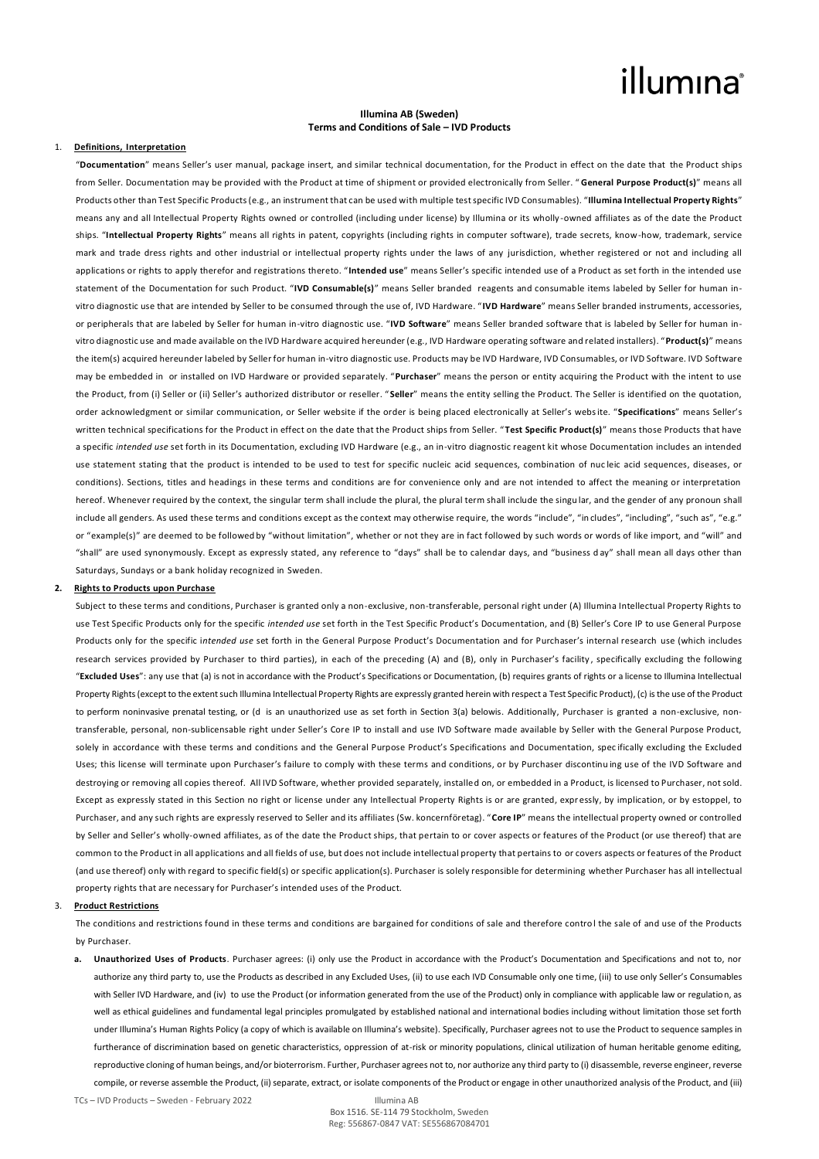# illumina®

# **Illumina AB (Sweden) Terms and Conditions of Sale – IVD Products**

# 1. **Definitions, Interpretation**

"**Documentation**" means Seller's user manual, package insert, and similar technical documentation, for the Product in effect on the date that the Product ships from Seller. Documentation may be provided with the Product at time of shipment or provided electronically from Seller. " **General Purpose Product(s)**" means all Products other than Test Specific Products (e.g., an instrument that can be used with multiple test specific IVD Consumables). "**Illumina Intellectual Property Rights**" means any and all Intellectual Property Rights owned or controlled (including under license) by Illumina or its wholly -owned affiliates as of the date the Product ships. "**Intellectual Property Rights**" means all rights in patent, copyrights (including rights in computer software), trade secrets, know-how, trademark, service mark and trade dress rights and other industrial or intellectual property rights under the laws of any jurisdiction, whether registered or not and including all applications or rights to apply therefor and registrations thereto. "**Intended use**" means Seller's specific intended use of a Product as set forth in the intended use statement of the Documentation for such Product. "**IVD Consumable(s)**" means Seller branded reagents and consumable items labeled by Seller for human invitro diagnostic use that are intended by Seller to be consumed through the use of, IVD Hardware. " **IVD Hardware**" means Seller branded instruments, accessories, or peripherals that are labeled by Seller for human in-vitro diagnostic use. "**IVD Software**" means Seller branded software that is labeled by Seller for human invitro diagnostic use and made available on the IVD Hardware acquired hereunder (e.g., IVD Hardware operating software and related installers). "**Product(s)**" means the item(s) acquired hereunder labeled by Seller for human in-vitro diagnostic use. Products may be IVD Hardware, IVD Consumables, or IVD Software. IVD Software may be embedded in or installed on IVD Hardware or provided separately. "**Purchaser**" means the person or entity acquiring the Product with the intent to use the Product, from (i) Seller or (ii) Seller's authorized distributor or reseller. " **Seller**" means the entity selling the Product. The Seller is identified on the quotation, order acknowledgment or similar communication, or Seller website if the order is being placed electronically at Seller's website. "**Specifications**" means Seller's written technical specifications for the Product in effect on the date that the Product ships from Seller. "**Test Specific Product(s)**" means those Products that have a specific *intended use* set forth in its Documentation, excluding IVD Hardware (e.g., an in-vitro diagnostic reagent kit whose Documentation includes an intended use statement stating that the product is intended to be used to test for specific nucleic acid sequences, combination of nuc leic acid sequences, diseases, or conditions). Sections, titles and headings in these terms and conditions are for convenience only and are not intended to affect the meaning or interpretation hereof. Whenever required by the context, the singular term shall include the plural, the plural term shall include the singular, and the gender of any pronoun shall include all genders. As used these terms and conditions except as the context may otherwise require, the words "include", "includes", "including", "such as", "e.g." or "example(s)" are deemed to be followed by "without limitation", whether or not they are in fact followed by such words or words of like import, and "will" and "shall" are used synonymously. Except as expressly stated, any reference to "days" shall be to calendar days, and "business d ay" shall mean all days other than Saturdays, Sundays or a bank holiday recognized in Sweden.

### **2. Rights to Products upon Purchase**

Subject to these terms and conditions, Purchaser is granted only a non-exclusive, non-transferable, personal right under (A) Illumina Intellectual Property Rights to use Test Specific Products only for the specific *intended use* set forth in the Test Specific Product's Documentation, and (B) Seller's Core IP to use General Purpose Products only for the specific i*ntended use* set forth in the General Purpose Product's Documentation and for Purchaser's internal research use (which includes research services provided by Purchaser to third parties), in each of the preceding (A) and (B), only in Purchaser's facility , specifically excluding the following "**Excluded Uses**": any use that (a) is not in accordance with the Product's Specifications or Documentation, (b) requires grants of rights or a license to Illumina Intellectual Property Rights (except to the extent such Illumina Intellectual Property Rights are expressly granted herein with respect a Test Specific Product), (c) is the use of the Product to perform noninvasive prenatal testing, or (d is an unauthorized use as set forth in Section 3(a) belowis. Additionally, Purchaser is granted a non-exclusive, nontransferable, personal, non-sublicensable right under Seller's Core IP to install and use IVD Software made available by Seller with the General Purpose Product, solely in accordance with these terms and conditions and the General Purpose Product's Specifications and Documentation, spec ifically excluding the Excluded Uses; this license will terminate upon Purchaser's failure to comply with these terms and conditions, or by Purchaser discontinu ing use of the IVD Software and destroying or removing all copies thereof. All IVD Software, whether provided separately, installed on, or embedded in a Product, is licensed to Purchaser, not sold. Except as expressly stated in this Section no right or license under any Intellectual Property Rights is or are granted, expressly, by implication, or by estoppel, to Purchaser, and any such rights are expressly reserved to Seller and its affiliates (Sw. koncernföretag). "**Core IP**" means the intellectual property owned or controlled by Seller and Seller's wholly-owned affiliates, as of the date the Product ships, that pertain to or cover aspects or features of the Product (or use thereof) that are common to the Product in all applications and all fields of use, but does not include intellectual property that pertains to or covers aspects or features of the Product (and use thereof) only with regard to specific field(s) or specific application(s). Purchaser is solely responsible for determining whether Purchaser has all intellectual property rights that are necessary for Purchaser's intended uses of the Product.

#### 3. **Product Restrictions**

The conditions and restrictions found in these terms and conditions are bargained for conditions of sale and therefore control the sale of and use of the Products by Purchaser.

**a. Unauthorized Uses of Products**. Purchaser agrees: (i) only use the Product in accordance with the Product's Documentation and Specifications and not to, nor authorize any third party to, use the Products as described in any Excluded Uses, (ii) to use each IVD Consumable only one time, (iii) to use only Seller's Consumables with Seller IVD Hardware, and (iv) to use the Product (or information generated from the use of the Product) only in compliance with applicable law or regulation, as well as ethical guidelines and fundamental legal principles promulgated by established national and international bodies including without limitation those set forth under Illumina's Human Rights Policy (a copy of which is available on Illumina's website). Specifically, Purchaser agrees not to use the Product to sequence samples in furtherance of discrimination based on genetic characteristics, oppression of at-risk or minority populations, clinical utilization of human heritable genome editing, reproductive cloning of human beings, and/or bioterrorism. Further, Purchaser agrees not to, nor authorize any third party to (i) disassemble, reverse engineer, reverse compile, or reverse assemble the Product, (ii) separate, extract, or isolate components of the Product or engage in other unauthorized analysis of the Product, and (iii)

TCs – IVD Products – Sweden - February 2022 Illumina AB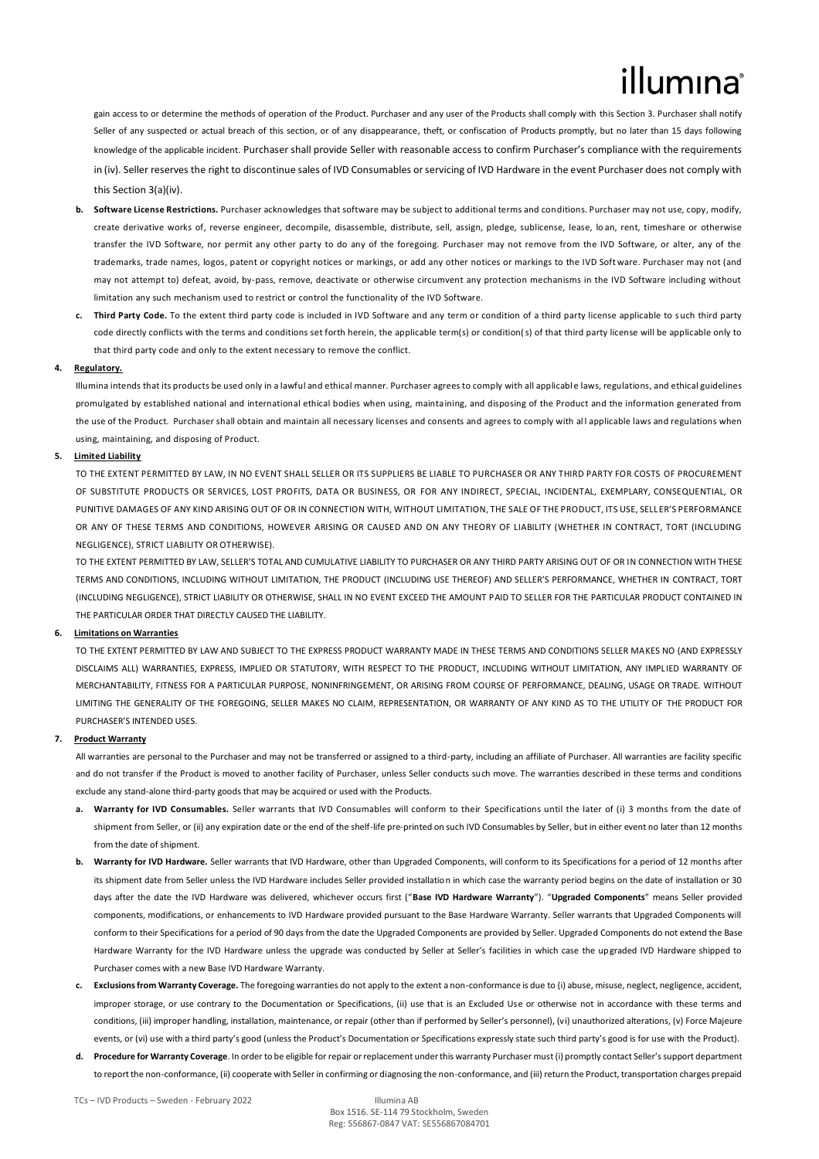gain access to or determine the methods of operation of the Product. Purchaser and any user of the Products shall comply with this Section 3. Purchaser shall notify Seller of any suspected or actual breach of this section, or of any disappearance, theft, or confiscation of Products promptly, but no later than 15 days following knowledge of the applicable incident. Purchaser shall provide Seller with reasonable access to confirm Purchaser's compliance with the requirements in (iv). Seller reserves the right to discontinue sales of IVD Consumables or servicing of IVD Hardware in the event Purchaser does not comply with this Section 3(a)(iv).

- **b. Software License Restrictions.** Purchaser acknowledges that software may be subject to additional terms and conditions. Purchaser may not use, copy, modify, create derivative works of, reverse engineer, decompile, disassemble, distribute, sell, assign, pledge, sublicense, lease, lo an, rent, timeshare or otherwise transfer the IVD Software, nor permit any other party to do any of the foregoing. Purchaser may not remove from the IVD Software, or alter, any of the trademarks, trade names, logos, patent or copyright notices or markings, or add any other notices or markings to the IVD Soft ware. Purchaser may not (and may not attempt to) defeat, avoid, by-pass, remove, deactivate or otherwise circumvent any protection mechanisms in the IVD Software including without limitation any such mechanism used to restrict or control the functionality of the IVD Software.
- **c. Third Party Code.** To the extent third party code is included in IVD Software and any term or condition of a third party license applicable to such third party code directly conflicts with the terms and conditions set forth herein, the applicable term(s) or condition(s) of that third party license will be applicable only to that third party code and only to the extent necessary to remove the conflict.

# **4. Regulatory.**

Illumina intends that its products be used only in a lawful and ethical manner. Purchaser agrees to comply with all applicabl e laws, regulations, and ethical guidelines promulgated by established national and international ethical bodies when using, maintaining, and disposing of the Product and the information generated from the use of the Product. Purchaser shall obtain and maintain all necessary licenses and consents and agrees to comply with al l applicable laws and regulations when using, maintaining, and disposing of Product.

## **5. Limited Liability**

TO THE EXTENT PERMITTED BY LAW, IN NO EVENT SHALL SELLER OR ITS SUPPLIERS BE LIABLE TO PURCHASER OR ANY THIRD PARTY FOR COSTS OF PROCUREMENT OF SUBSTITUTE PRODUCTS OR SERVICES, LOST PROFITS, DATA OR BUSINESS, OR FOR ANY INDIRECT, SPECIAL, INCIDENTAL, EXEMPLARY, CONSEQUENTIAL, OR PUNITIVE DAMAGES OF ANY KIND ARISING OUT OF OR IN CONNECTION WITH, WITHOUT LIMITATION, THE SALE OF THE PRODUCT, ITS USE, SELLER'S PERFORMANCE OR ANY OF THESE TERMS AND CONDITIONS, HOWEVER ARISING OR CAUSED AND ON ANY THEORY OF LIABILITY (WHETHER IN CONTRACT, TORT (INCLUDING NEGLIGENCE), STRICT LIABILITY OR OTHERWISE).

TO THE EXTENT PERMITTED BY LAW, SELLER'S TOTAL AND CUMULATIVE LIABILITY TO PURCHASER OR ANY THIRD PARTY ARISING OUT OF OR IN CONNECTION WITH THESE TERMS AND CONDITIONS, INCLUDING WITHOUT LIMITATION, THE PRODUCT (INCLUDING USE THEREOF) AND SELLER'S PERFORMANCE, WHETHER IN CONTRACT, TORT (INCLUDING NEGLIGENCE), STRICT LIABILITY OR OTHERWISE, SHALL IN NO EVENT EXCEED THE AMOUNT PAID TO SELLER FOR THE PARTICULAR PRODUCT CONTAINED IN THE PARTICULAR ORDER THAT DIRECTLY CAUSED THE LIABILITY.

#### **6. Limitations on Warranties**

TO THE EXTENT PERMITTED BY LAW AND SUBJECT TO THE EXPRESS PRODUCT WARRANTY MADE IN THESE TERMS AND CONDITIONS SELLER MAKES NO (AND EXPRESSLY DISCLAIMS ALL) WARRANTIES, EXPRESS, IMPLIED OR STATUTORY, WITH RESPECT TO THE PRODUCT, INCLUDING WITHOUT LIMITATION, ANY IMPLIED WARRANTY OF MERCHANTABILITY, FITNESS FOR A PARTICULAR PURPOSE, NONINFRINGEMENT, OR ARISING FROM COURSE OF PERFORMANCE, DEALING, USAGE OR TRADE. WITHOUT LIMITING THE GENERALITY OF THE FOREGOING, SELLER MAKES NO CLAIM, REPRESENTATION, OR WARRANTY OF ANY KIND AS TO THE UTILITY OF THE PRODUCT FOR PURCHASER'S INTENDED USES.

#### **7. Product Warranty**

All warranties are personal to the Purchaser and may not be transferred or assigned to a third-party, including an affiliate of Purchaser. All warranties are facility specific and do not transfer if the Product is moved to another facility of Purchaser, unless Seller conducts such move. The warranties described in these terms and conditions exclude any stand-alone third-party goods that may be acquired or used with the Products.

- **a. Warranty for IVD Consumables.** Seller warrants that IVD Consumables will conform to their Specifications until the later of (i) 3 months from the date of shipment from Seller, or (ii) any expiration date or the end of the shelf-life pre-printed on such IVD Consumables by Seller, but in either event no later than 12 months from the date of shipment.
- **b. Warranty for IVD Hardware.** Seller warrants that IVD Hardware, other than Upgraded Components, will conform to its Specifications for a period of 12 months after its shipment date from Seller unless the IVD Hardware includes Seller provided installation in which case the warranty period begins on the date of installation or 30 days after the date the IVD Hardware was delivered, whichever occurs first ("**Base IVD Hardware Warranty**"). "**Upgraded Components**" means Seller provided components, modifications, or enhancements to IVD Hardware provided pursuant to the Base Hardware Warranty. Seller warrants that Upgraded Components will conform to their Specifications for a period of 90 days from the date the Upgraded Components are provided by Seller. Upgraded Components do not extend the Base Hardware Warranty for the IVD Hardware unless the upgrade was conducted by Seller at Seller's facilities in which case the upgraded IVD Hardware shipped to Purchaser comes with a new Base IVD Hardware Warranty.
- **c. Exclusions from Warranty Coverage.** The foregoing warranties do not apply to the extent a non-conformance is due to (i) abuse, misuse, neglect, negligence, accident, improper storage, or use contrary to the Documentation or Specifications, (ii) use that is an Excluded Use or otherwise not in accordance with these terms and conditions, (iii) improper handling, installation, maintenance, or repair (other than if performed by Seller's personnel), (vi) unauthorized alterations, (v) Force Majeure events, or (vi) use with a third party's good (unless the Product's Documentation or Specifications expressly state such third party's good is for use with the Product).
- **d. Procedure for Warranty Coverage**. In order to be eligible for repair or replacement under this warranty Purchaser must (i) promptly contact Seller's support department to report the non-conformance, (ii) cooperate with Seller in confirming or diagnosing the non-conformance, and (iii) return the Product, transportation charges prepaid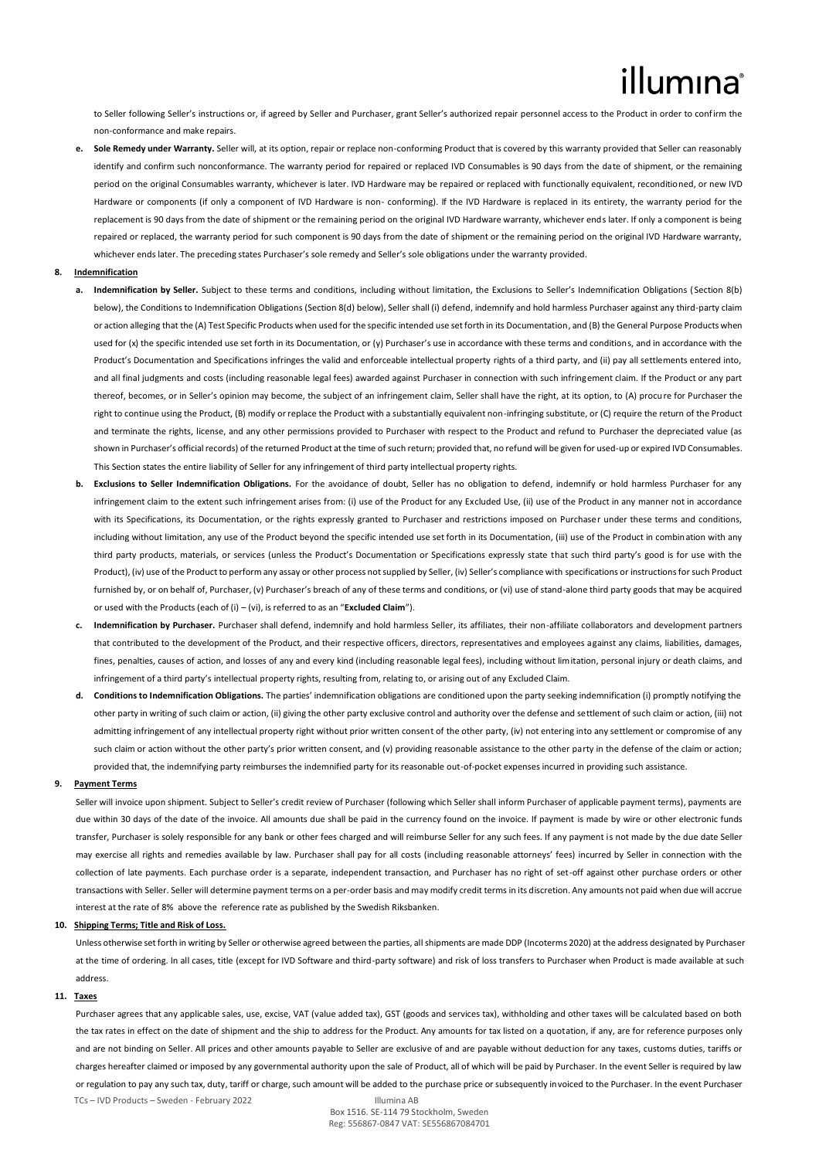# illumına

to Seller following Seller's instructions or, if agreed by Seller and Purchaser, grant Seller's authorized repair personnel access to the Product in order to confirm the non-conformance and make repairs.

**e. Sole Remedy under Warranty.** Seller will, at its option, repair or replace non-conforming Product that is covered by this warranty provided that Seller can reasonably identify and confirm such nonconformance. The warranty period for repaired or replaced IVD Consumables is 90 days from the date of shipment, or the remaining period on the original Consumables warranty, whichever is later. IVD Hardware may be repaired or replaced with functionally equivalent, reconditioned, or new IVD Hardware or components (if only a component of IVD Hardware is non- conforming). If the IVD Hardware is replaced in its entirety, the warranty period for the replacement is 90 days from the date of shipment or the remaining period on the original IVD Hardware warranty, whichever ends later. If only a component is being repaired or replaced, the warranty period for such component is 90 days from the date of shipment or the remaining period on the original IVD Hardware warranty, whichever ends later. The preceding states Purchaser's sole remedy and Seller's sole obligations under the warranty provided.

### **8. Indemnification**

- **a. Indemnification by Seller.** Subject to these terms and conditions, including without limitation, the Exclusions to Seller's Indemnification Obligations (Section 8(b) below), the Conditions to Indemnification Obligations (Section 8(d) below), Seller shall (i) defend, indemnify and hold harmless Purchaser against any third-party claim or action alleging that the (A) Test Specific Products when used for the specific intended use set forth in its Documentation, and (B) the General Purpose Products when used for (x) the specific intended use set forth in its Documentation, or (y) Purchaser's use in accordance with these terms and conditions, and in accordance with the Product's Documentation and Specifications infringes the valid and enforceable intellectual property rights of a third party, and (ii) pay all settlements entered into, and all final judgments and costs (including reasonable legal fees) awarded against Purchaser in connection with such infringement claim. If the Product or any part thereof, becomes, or in Seller's opinion may become, the subject of an infringement claim, Seller shall have the right, at its option, to (A) procure for Purchaser the right to continue using the Product, (B) modify or replace the Product with a substantially equivalent non-infringing substitute, or (C) require the return of the Product and terminate the rights, license, and any other permissions provided to Purchaser with respect to the Product and refund to Purchaser the depreciated value (as shown in Purchaser's official records) of the returned Product at the time of such return; provided that, no refund will be given for used-up or expired IVD Consumables. This Section states the entire liability of Seller for any infringement of third party intellectual property rights.
- **b. Exclusions to Seller Indemnification Obligations.** For the avoidance of doubt, Seller has no obligation to defend, indemnify or hold harmless Purchaser for any infringement claim to the extent such infringement arises from: (i) use of the Product for any Excluded Use, (ii) use of the Product in any manner not in accordance with its Specifications, its Documentation, or the rights expressly granted to Purchaser and restrictions imposed on Purchaser under these terms and conditions. including without limitation, any use of the Product beyond the specific intended use set forth in its Documentation, (iii) use of the Product in combination with any third party products, materials, or services (unless the Product's Documentation or Specifications expressly state that such third party's good is for use with the Product), (iv) use of the Product to perform any assay or other process not supplied by Seller, (iv) Seller's compliance with specifications or instructions for such Product furnished by, or on behalf of, Purchaser, (v) Purchaser's breach of any of these terms and conditions, or (vi) use of stand-alone third party goods that may be acquired or used with the Products (each of (i) – (vi), is referred to as an "**Excluded Claim**").
- **c. Indemnification by Purchaser.** Purchaser shall defend, indemnify and hold harmless Seller, its affiliates, their non-affiliate collaborators and development partners that contributed to the development of the Product, and their respective officers, directors, representatives and employees against any claims, liabilities, damages, fines, penalties, causes of action, and losses of any and every kind (including reasonable legal fees), including without limitation, personal injury or death claims, and infringement of a third party's intellectual property rights, resulting from, relating to, or arising out of any Excluded Claim.
- **d. Conditions to Indemnification Obligations.** The parties' indemnification obligations are conditioned upon the party seeking indemnification (i) promptly notifying the other party in writing of such claim or action, (ii) giving the other party exclusive control and authority over the defense and settlement of such claim or action, (iii) not admitting infringement of any intellectual property right without prior written consent of the other party, (iv) not entering into any settlement or compromise of any such claim or action without the other party's prior written consent, and (v) providing reasonable assistance to the other party in the defense of the claim or action; provided that, the indemnifying party reimburses the indemnified party for its reasonable out-of-pocket expenses incurred in providing such assistance.

# **9. Payment Terms**

Seller will invoice upon shipment. Subject to Seller's credit review of Purchaser (following which Seller shall inform Purchaser of applicable payment terms), payments are due within 30 days of the date of the invoice. All amounts due shall be paid in the currency found on the invoice. If payment is made by wire or other electronic funds transfer, Purchaser is solely responsible for any bank or other fees charged and will reimburse Seller for any such fees. If any payment is not made by the due date Seller may exercise all rights and remedies available by law. Purchaser shall pay for all costs (including reasonable attorneys' fees) incurred by Seller in connection with the collection of late payments. Each purchase order is a separate, independent transaction, and Purchaser has no right of set-off against other purchase orders or other transactions with Seller. Seller will determine payment terms on a per-order basis and may modify credit terms in its discretion. Any amounts not paid when due will accrue interest at the rate of 8% above the reference rate as published by the Swedish Riksbanken.

#### **10. Shipping Terms; Title and Risk of Loss.**

Unless otherwise set forth in writing by Seller or otherwise agreed between the parties, all shipments are made DDP (Incoterms 2020) at the address designated by Purchaser at the time of ordering. In all cases, title (except for IVD Software and third-party software) and risk of loss transfers to Purchaser when Product is made available at such address.

### **11. Taxes**

TCs – IVD Products – Sweden - February 2022 Illumina AB Purchaser agrees that any applicable sales, use, excise, VAT (value added tax), GST (goods and services tax), withholding and other taxes will be calculated based on both the tax rates in effect on the date of shipment and the ship to address for the Product. Any amounts for tax listed on a quotation, if any, are for reference purposes only and are not binding on Seller. All prices and other amounts payable to Seller are exclusive of and are payable without deduction for any taxes, customs duties, tariffs or charges hereafter claimed or imposed by any governmental authority upon the sale of Product, all of which will be paid by Purchaser. In the event Seller is required by law or regulation to pay any such tax, duty, tariff or charge, such amount will be added to the purchase price or subsequently invoiced to the Purchaser. In the event Purchaser

Box 1516. SE-114 79 Stockholm, Sweden Reg: 556867-0847 VAT: SE556867084701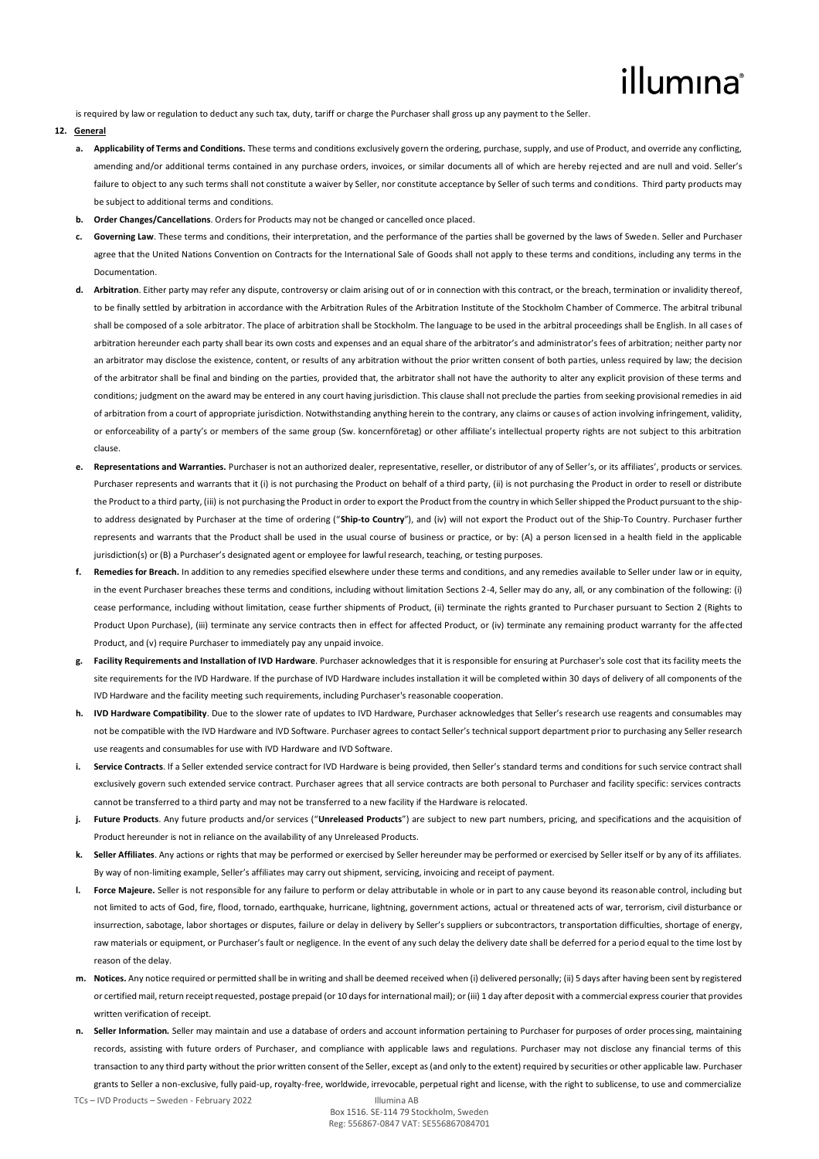# illumına

is required by law or regulation to deduct any such tax, duty, tariff or charge the Purchaser shall gross up any payment to the Seller.

# **12. General**

- **a. Applicability of Terms and Conditions.** These terms and conditions exclusively govern the ordering, purchase, supply, and use of Product, and override any conflicting, amending and/or additional terms contained in any purchase orders, invoices, or similar documents all of which are hereby rejected and are null and void. Seller's failure to obiect to any such terms shall not constitute a waiver by Seller, nor constitute acceptance by Seller of such terms and conditions. Third party products may be subject to additional terms and conditions.
- **b. Order Changes/Cancellations**. Orders for Products may not be changed or cancelled once placed.
- **c. Governing Law**. These terms and conditions, their interpretation, and the performance of the parties shall be governed by the laws of Sweden. Seller and Purchaser agree that the United Nations Convention on Contracts for the International Sale of Goods shall not apply to these terms and conditions, including any terms in the Documentation.
- **d. Arbitration**. Either party may refer any dispute, controversy or claim arising out of or in connection with this contract, or the breach, termination or invalidity thereof, to be finally settled by arbitration in accordance with the Arbitration Rules of the Arbitration Institute of the Stockholm Chamber of Commerce. The arbitral tribunal shall be composed of a sole arbitrator. The place of arbitration shall be Stockholm. The language to be used in the arbitral proceedings shall be English. In all cases of arbitration hereunder each party shall bear its own costs and expenses and an equal share of the arbitrator's and administrator's fees of arbitration; neither party nor an arbitrator may disclose the existence, content, or results of any arbitration without the prior written consent of both parties, unless required by law; the decision of the arbitrator shall be final and binding on the parties, provided that, the arbitrator shall not have the authority to alter any explicit provision of these terms and conditions; judgment on the award may be entered in any court having jurisdiction. This clause shall not preclude the parties from seeking provisional remedies in aid of arbitration from a court of appropriate jurisdiction. Notwithstanding anything herein to the contrary, any claims or causes of action involving infringement, validity, or enforceability of a party's or members of the same group (Sw. koncernföretag) or other affiliate's intellectual property rights are not subject to this arbitration clause.
- Representations and Warranties. Purchaser is not an authorized dealer, representative, reseller, or distributor of any of Seller's, or its affiliates', products or services. Purchaser represents and warrants that it (i) is not purchasing the Product on behalf of a third party, (ii) is not purchasing the Product in order to resell or distribute the Product to a third party, (iii) is not purchasing the Product in order to export the Product from the country in which Seller shipped the Product pursuant to the shipto address designated by Purchaser at the time of ordering ("**Ship-to Country**"), and (iv) will not export the Product out of the Ship-To Country. Purchaser further represents and warrants that the Product shall be used in the usual course of business or practice, or by: (A) a person licensed in a health field in the applicable jurisdiction(s) or (B) a Purchaser's designated agent or employee for lawful research, teaching, or testing purposes.
- **f. Remedies for Breach.** In addition to any remedies specified elsewhere under these terms and conditions, and any remedies available to Seller under law or in equity, in the event Purchaser breaches these terms and conditions, including without limitation Sections 2-4, Seller may do any, all, or any combination of the following: (i) cease performance, including without limitation, cease further shipments of Product, (ii) terminate the rights granted to Purchaser pursuant to Section 2 (Rights to Product Upon Purchase), (iii) terminate any service contracts then in effect for affected Product, or (iv) terminate any remaining product warranty for the affected Product, and (v) require Purchaser to immediately pay any unpaid invoice.
- **g. Facility Requirements and Installation of IVD Hardware**. Purchaser acknowledges that it is responsible for ensuring at Purchaser's sole cost that its facility meets the site requirements for the IVD Hardware. If the purchase of IVD Hardware includes installation it will be completed within 30 days of delivery of all components of the IVD Hardware and the facility meeting such requirements, including Purchaser's reasonable cooperation.
- **h. IVD Hardware Compatibility**. Due to the slower rate of updates to IVD Hardware, Purchaser acknowledges that Seller's research use reagents and consumables may not be compatible with the IVD Hardware and IVD Software. Purchaser agrees to contact Seller's technical support department prior to purchasing any Seller research use reagents and consumables for use with IVD Hardware and IVD Software.
- **i. Service Contracts**. If a Seller extended service contract for IVD Hardware is being provided, then Seller's standard terms and conditions for such service contract shall exclusively govern such extended service contract. Purchaser agrees that all service contracts are both personal to Purchaser and facility specific: services contracts cannot be transferred to a third party and may not be transferred to a new facility if the Hardware is relocated.
- **j. Future Products**. Any future products and/or services ("**Unreleased Products**") are subject to new part numbers, pricing, and specifications and the acquisition of Product hereunder is not in reliance on the availability of any Unreleased Products.
- **k. Seller Affiliates**. Any actions or rights that may be performed or exercised by Seller hereunder may be performed or exercised by Seller itself or by any of its affiliates. By way of non-limiting example, Seller's affiliates may carry out shipment, servicing, invoicing and receipt of payment.
- **l. Force Majeure.** Seller is not responsible for any failure to perform or delay attributable in whole or in part to any cause beyond its reasonable control, including but not limited to acts of God, fire, flood, tornado, earthquake, hurricane, lightning, government actions, actual or threatened acts of war, terrorism, civil disturbance or insurrection, sabotage, labor shortages or disputes, failure or delay in delivery by Seller's suppliers or subcontractors, transportation difficulties, shortage of energy, raw materials or equipment, or Purchaser's fault or negligence. In the event of any such delay the delivery date shall be deferred for a period equal to the time lost by reason of the delay.
- **m. Notices.** Any notice required or permitted shall be in writing and shall be deemed received when (i) delivered personally; (ii) 5 days after having been sent by registered or certified mail, return receipt requested, postage prepaid (or 10 days for international mail); or (iii) 1 day after deposit with a commercial express courier that provides written verification of receipt.
- Seller Information. Seller may maintain and use a database of orders and account information pertaining to Purchaser for purposes of order processing, maintaining records, assisting with future orders of Purchaser, and compliance with applicable laws and regulations. Purchaser may not disclose any financial terms of this transaction to any third party without the prior written consent of the Seller, except as (and only to the extent) required by securities or other applicable law. Purchaser grants to Seller a non-exclusive, fully paid-up, royalty-free, worldwide, irrevocable, perpetual right and license, with the right to sublicense, to use and commercialize